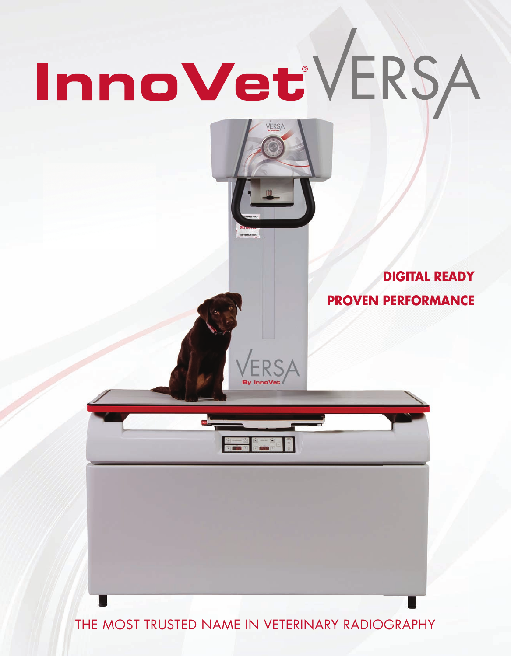# InnoVetVERSA



**DIGITAL READY PROVEN PERFORMANCE**

THE MOST TRUSTED NAME IN VETERINARY RADIOGRAPHY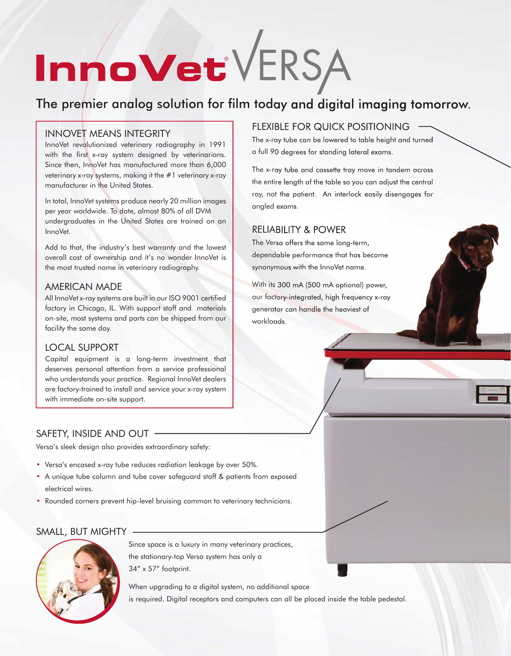# InnoVetVERSA

## The premier analog solution for film today and digital imaging tomorrow.

#### INNOVET MEANS INTEGRITY

InnoVet revolutionized veterinary radiography in 1991 with the first x-ray system designed by veterinarians. Since then, InnoVet has manufactured more than 6,000 veterinary x-ray systems, making it the #1 veterinary x-ray manufacturer in the United States.

In total, InnoVet systems produce nearly 20 million images per year worldwide. To date, almost 80% of all DVM undergraduates in the United States are trained on an InnoVet.

Add to that, the industry's best warranty and the lowest overall cost of ownership and it's no wonder InnoVet is the most trusted name in veterinary radiography.

#### AMERICAN MADE

All InnoVet x-ray systems are built in our ISO 9001 certified factory in Chicago, IL. With support staff and materials on-site, most systems and parts can be shipped from our facility the same day.

#### LOCAL SUPPORT

Capital equipment is a long-term investment that deserves personal attention from a service professional who understands your practice. Regional InnoVet dealers are factory-trained to install and service your x-ray system with immediate on-site support.

#### FLEXIBLE FOR QUICK POSITIONING

The x-ray tube can be lowered to table height and turned a full 90 degrees for standing lateral exams.

The x-ray tube and cassette tray move in tandem across the entire length of the table so you can adjust the central ray, not the patient. An interlock easily disengages for angled exams.

#### RELIABILITY & POWER

The Versa offers the same long-term, dependable performance that has become synonymous with the InnoVet name.

With its 300 mA (500 mA optional) power, our factory-integrated, high frequency x-ray generator can handle the heaviest of workloads.

#### SAFETY, INSIDE AND OUT

Versa's sleek design also provides extraordinary safety:

- Versa's encased x-ray tube reduces radiation leakage by over 50%.
- A unique tube column and tube cover safeguard staff & patients from exposed electrical wires.
- Rounded corners prevent hip-level bruising common to veterinary technicians.

#### SMALL, BUT MIGHTY



 Since space is a luxury in many veterinary practices, the stationary-top Versa system has only a 34" x 57" footprint.

When upgrading to a digital system, no additional space is required. Digital receptors and computers can all be placed inside the table pedestal.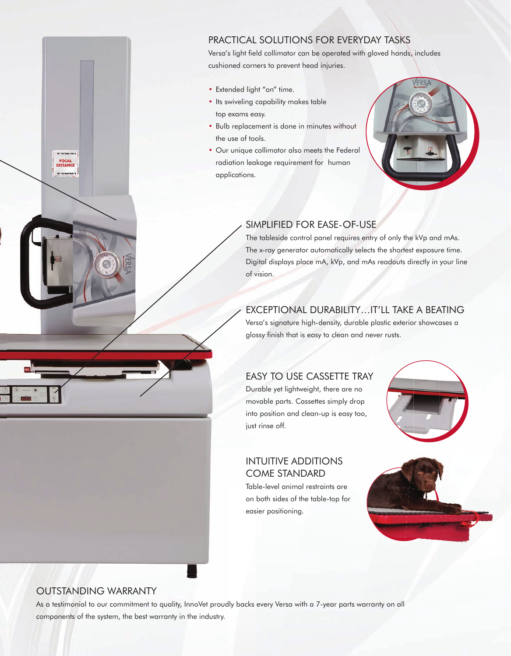#### PRACTICAL SOLUTIONS FOR EVERYDAY TASKS

Versa's light field collimator can be operated with gloved hands, includes cushioned corners to prevent head injuries.

- Extended light "on" time.
- Its swiveling capability makes table top exams easy.
- Bulb replacement is done in minutes without the use of tools.
- Our unique collimator also meets the Federal radiation leakage requirement for human applications.



#### SIMPLIFIED FOR EASE-OF-USE

The tableside control panel requires entry of only the kVp and mAs. The x-ray generator automatically selects the shortest exposure time. Digital displays place mA, kVp, and mAs readouts directly in your line of vision.

#### EXCEPTIONAL DURABILITY…IT'LL TAKE A BEATING

Versa's signature high-density, durable plastic exterior showcases a glossy finish that is easy to clean and never rusts.

#### EASY TO USE CASSETTE TRAY

Durable yet lightweight, there are no movable parts. Cassettes simply drop into position and clean-up is easy too, just rinse off.



#### INTUITIVE ADDITIONS COME STANDARD

Table-level animal restraints are on both sides of the table-top for easier positioning.



#### OUTSTANDING WARRANTY

**FOCAL**<br>DISTANCI

As a testimonial to our commitment to quality, InnoVet proudly backs every Versa with a 7-year parts warranty on all components of the system, the best warranty in the industry.